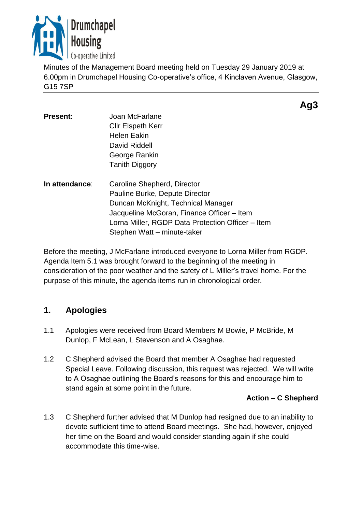

Minutes of the Management Board meeting held on Tuesday 29 January 2019 at 6.00pm in Drumchapel Housing Co-operative's office, 4 Kinclaven Avenue, Glasgow, G15 7SP

| <b>Present:</b> | Joan McFarlane<br><b>CIIr Elspeth Kerr</b><br><b>Helen Eakin</b><br>David Riddell<br>George Rankin<br><b>Tanith Diggory</b>                                                                                                           |
|-----------------|---------------------------------------------------------------------------------------------------------------------------------------------------------------------------------------------------------------------------------------|
| In attendance:  | Caroline Shepherd, Director<br>Pauline Burke, Depute Director<br>Duncan McKnight, Technical Manager<br>Jacqueline McGoran, Finance Officer - Item<br>Lorna Miller, RGDP Data Protection Officer – Item<br>Stephen Watt – minute-taker |

Before the meeting, J McFarlane introduced everyone to Lorna Miller from RGDP. Agenda Item 5.1 was brought forward to the beginning of the meeting in consideration of the poor weather and the safety of L Miller's travel home. For the purpose of this minute, the agenda items run in chronological order.

# **1. Apologies**

- 1.1 Apologies were received from Board Members M Bowie, P McBride, M Dunlop, F McLean, L Stevenson and A Osaghae.
- 1.2 C Shepherd advised the Board that member A Osaghae had requested Special Leave. Following discussion, this request was rejected. We will write to A Osaghae outlining the Board's reasons for this and encourage him to stand again at some point in the future.

#### **Action – C Shepherd**

1.3 C Shepherd further advised that M Dunlop had resigned due to an inability to devote sufficient time to attend Board meetings. She had, however, enjoyed her time on the Board and would consider standing again if she could accommodate this time-wise.

# **Ag3**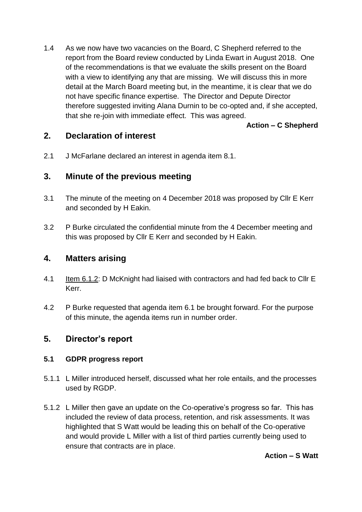1.4 As we now have two vacancies on the Board, C Shepherd referred to the report from the Board review conducted by Linda Ewart in August 2018. One of the recommendations is that we evaluate the skills present on the Board with a view to identifying any that are missing. We will discuss this in more detail at the March Board meeting but, in the meantime, it is clear that we do not have specific finance expertise. The Director and Depute Director therefore suggested inviting Alana Durnin to be co-opted and, if she accepted, that she re-join with immediate effect. This was agreed.

**Action – C Shepherd**

### **2. Declaration of interest**

2.1 J McFarlane declared an interest in agenda item 8.1.

# **3. Minute of the previous meeting**

- 3.1 The minute of the meeting on 4 December 2018 was proposed by Cllr E Kerr and seconded by H Eakin.
- 3.2 P Burke circulated the confidential minute from the 4 December meeting and this was proposed by Cllr E Kerr and seconded by H Eakin.

### **4. Matters arising**

- 4.1 Item 6.1.2: D McKnight had liaised with contractors and had fed back to Cllr E Kerr.
- 4.2 P Burke requested that agenda item 6.1 be brought forward. For the purpose of this minute, the agenda items run in number order.

# **5. Director's report**

#### **5.1 GDPR progress report**

- 5.1.1 L Miller introduced herself, discussed what her role entails, and the processes used by RGDP.
- 5.1.2 L Miller then gave an update on the Co-operative's progress so far. This has included the review of data process, retention, and risk assessments. It was highlighted that S Watt would be leading this on behalf of the Co-operative and would provide L Miller with a list of third parties currently being used to ensure that contracts are in place.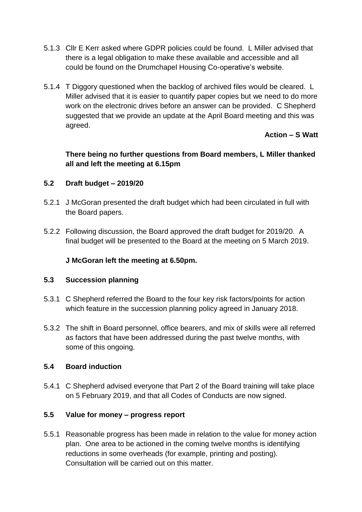- 5.1.3 Cllr E Kerr asked where GDPR policies could be found. L Miller advised that there is a legal obligation to make these available and accessible and all could be found on the Drumchapel Housing Co-operative's website.
- 5.1.4 T Diggory questioned when the backlog of archived files would be cleared. L Miller advised that it is easier to quantify paper copies but we need to do more work on the electronic drives before an answer can be provided. C Shepherd suggested that we provide an update at the April Board meeting and this was agreed.

### **Action – S Watt**

### **There being no further questions from Board members, L Miller thanked all and left the meeting at 6.15pm**

#### **5.2 Draft budget – 2019/20**

- 5.2.1 J McGoran presented the draft budget which had been circulated in full with the Board papers.
- 5.2.2 Following discussion, the Board approved the draft budget for 2019/20. A final budget will be presented to the Board at the meeting on 5 March 2019.

### **J McGoran left the meeting at 6.50pm.**

#### **5.3 Succession planning**

- 5.3.1 C Shepherd referred the Board to the four key risk factors/points for action which feature in the succession planning policy agreed in January 2018.
- 5.3.2 The shift in Board personnel, office bearers, and mix of skills were all referred as factors that have been addressed during the past twelve months, with some of this ongoing.

#### **5.4 Board induction**

5.4.1 C Shepherd advised everyone that Part 2 of the Board training will take place on 5 February 2019, and that all Codes of Conducts are now signed.

#### **5.5 Value for money – progress report**

5.5.1 Reasonable progress has been made in relation to the value for money action plan. One area to be actioned in the coming twelve months is identifying reductions in some overheads (for example, printing and posting). Consultation will be carried out on this matter.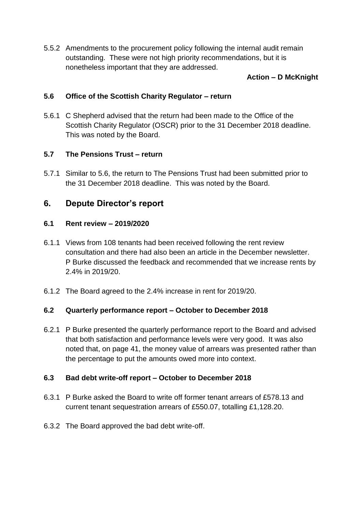5.5.2 Amendments to the procurement policy following the internal audit remain outstanding. These were not high priority recommendations, but it is nonetheless important that they are addressed.

### **Action – D McKnight**

#### **5.6 Office of the Scottish Charity Regulator – return**

5.6.1 C Shepherd advised that the return had been made to the Office of the Scottish Charity Regulator (OSCR) prior to the 31 December 2018 deadline. This was noted by the Board.

#### **5.7 The Pensions Trust – return**

5.7.1 Similar to 5.6, the return to The Pensions Trust had been submitted prior to the 31 December 2018 deadline. This was noted by the Board.

# **6. Depute Director's report**

#### **6.1 Rent review – 2019/2020**

- 6.1.1 Views from 108 tenants had been received following the rent review consultation and there had also been an article in the December newsletter. P Burke discussed the feedback and recommended that we increase rents by 2.4% in 2019/20.
- 6.1.2 The Board agreed to the 2.4% increase in rent for 2019/20.

#### **6.2 Quarterly performance report – October to December 2018**

6.2.1 P Burke presented the quarterly performance report to the Board and advised that both satisfaction and performance levels were very good. It was also noted that, on page 41, the money value of arrears was presented rather than the percentage to put the amounts owed more into context.

#### **6.3 Bad debt write-off report – October to December 2018**

- 6.3.1 P Burke asked the Board to write off former tenant arrears of £578.13 and current tenant sequestration arrears of £550.07, totalling £1,128.20.
- 6.3.2 The Board approved the bad debt write-off.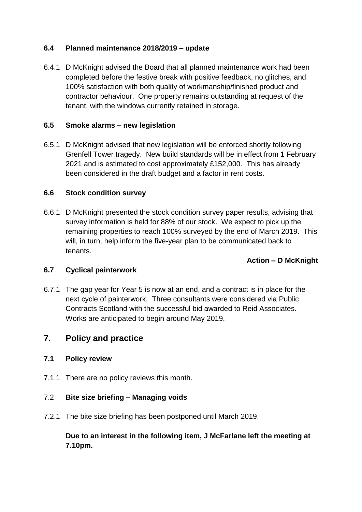#### **6.4 Planned maintenance 2018/2019 – update**

6.4.1 D McKnight advised the Board that all planned maintenance work had been completed before the festive break with positive feedback, no glitches, and 100% satisfaction with both quality of workmanship/finished product and contractor behaviour. One property remains outstanding at request of the tenant, with the windows currently retained in storage.

#### **6.5 Smoke alarms – new legislation**

6.5.1 D McKnight advised that new legislation will be enforced shortly following Grenfell Tower tragedy. New build standards will be in effect from 1 February 2021 and is estimated to cost approximately £152,000. This has already been considered in the draft budget and a factor in rent costs.

#### **6.6 Stock condition survey**

6.6.1 D McKnight presented the stock condition survey paper results, advising that survey information is held for 88% of our stock. We expect to pick up the remaining properties to reach 100% surveyed by the end of March 2019. This will, in turn, help inform the five-year plan to be communicated back to tenants.

#### **Action – D McKnight**

#### **6.7 Cyclical painterwork**

6.7.1 The gap year for Year 5 is now at an end, and a contract is in place for the next cycle of painterwork. Three consultants were considered via Public Contracts Scotland with the successful bid awarded to Reid Associates. Works are anticipated to begin around May 2019.

### **7. Policy and practice**

#### **7.1 Policy review**

7.1.1 There are no policy reviews this month.

#### 7.2 **Bite size briefing – Managing voids**

7.2.1 The bite size briefing has been postponed until March 2019.

**Due to an interest in the following item, J McFarlane left the meeting at 7.10pm.**